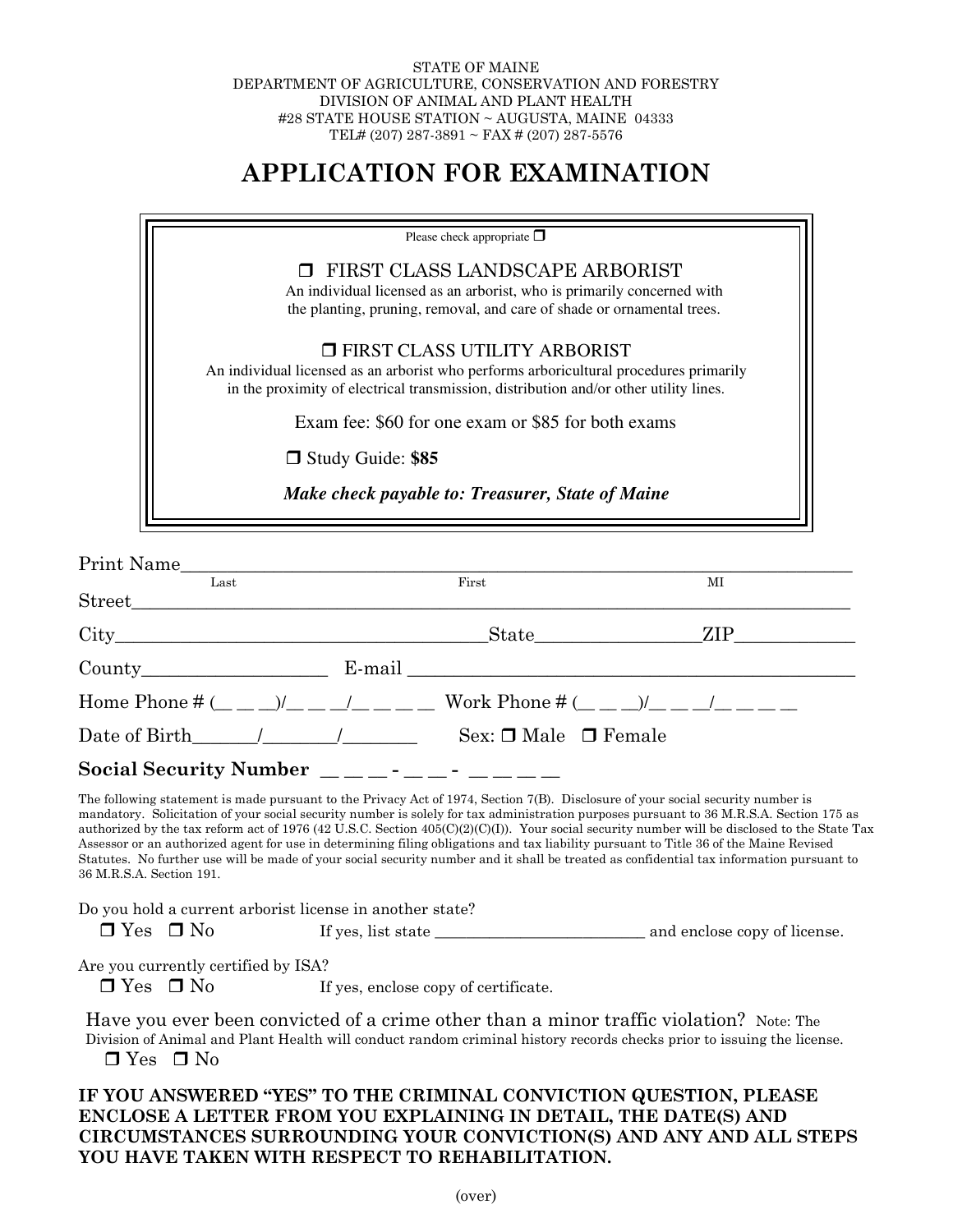## STATE OF MAINE DEPARTMENT OF AGRICULTURE, CONSERVATION AND FORESTRY DIVISION OF ANIMAL AND PLANT HEALTH #28 STATE HOUSE STATION ~ AUGUSTA, MAINE 04333 TEL# (207) 287-3891 ~ FAX # (207) 287-5576

## **APPLICATION FOR EXAMINATION**

| Please check appropriate $\Box$                                                                                                                                                                                   |  |
|-------------------------------------------------------------------------------------------------------------------------------------------------------------------------------------------------------------------|--|
| <b>T</b> FIRST CLASS LANDSCAPE ARBORIST<br>An individual licensed as an arborist, who is primarily concerned with<br>the planting, pruning, removal, and care of shade or ornamental trees.                       |  |
| □ FIRST CLASS UTILITY ARBORIST<br>An individual licensed as an arborist who performs arboricultural procedures primarily<br>in the proximity of electrical transmission, distribution and/or other utility lines. |  |
| Exam fee: \$60 for one exam or \$85 for both exams                                                                                                                                                                |  |
| Study Guide: \$85                                                                                                                                                                                                 |  |
| Make check payable to: Treasurer, State of Maine                                                                                                                                                                  |  |

| Print Name                                                                                                                             |                                      |                                                                                                                                                                                                                                                                                                                                                                                                                                                                                                                                                                                                                                                                                                                 |
|----------------------------------------------------------------------------------------------------------------------------------------|--------------------------------------|-----------------------------------------------------------------------------------------------------------------------------------------------------------------------------------------------------------------------------------------------------------------------------------------------------------------------------------------------------------------------------------------------------------------------------------------------------------------------------------------------------------------------------------------------------------------------------------------------------------------------------------------------------------------------------------------------------------------|
| Last                                                                                                                                   | First                                | MI                                                                                                                                                                                                                                                                                                                                                                                                                                                                                                                                                                                                                                                                                                              |
|                                                                                                                                        |                                      |                                                                                                                                                                                                                                                                                                                                                                                                                                                                                                                                                                                                                                                                                                                 |
|                                                                                                                                        |                                      | ZIP<br>State                                                                                                                                                                                                                                                                                                                                                                                                                                                                                                                                                                                                                                                                                                    |
| County E-mail E-mail                                                                                                                   |                                      |                                                                                                                                                                                                                                                                                                                                                                                                                                                                                                                                                                                                                                                                                                                 |
|                                                                                                                                        |                                      | Home Phone # $($ _ _ _) $/$ _ _ $/$ _ _ _ _ Work Phone # $($ _ _ _) $/$ _ _ $/$ _ _ _ _                                                                                                                                                                                                                                                                                                                                                                                                                                                                                                                                                                                                                         |
|                                                                                                                                        |                                      |                                                                                                                                                                                                                                                                                                                                                                                                                                                                                                                                                                                                                                                                                                                 |
| Social Security Number $\frac{1}{1}$ $\frac{1}{1}$ $\frac{1}{1}$ $\frac{1}{1}$ $\frac{1}{1}$ $\frac{1}{1}$ $\frac{1}{1}$ $\frac{1}{1}$ |                                      |                                                                                                                                                                                                                                                                                                                                                                                                                                                                                                                                                                                                                                                                                                                 |
| 36 M.R.S.A. Section 191.                                                                                                               |                                      | The following statement is made pursuant to the Privacy Act of 1974, Section 7(B). Disclosure of your social security number is<br>mandatory. Solicitation of your social security number is solely for tax administration purposes pursuant to 36 M.R.S.A. Section 175 as<br>authorized by the tax reform act of 1976 (42 U.S.C. Section 405(C)(2)(C)(I)). Your social security number will be disclosed to the State Tax<br>Assessor or an authorized agent for use in determining filing obligations and tax liability pursuant to Title 36 of the Maine Revised<br>Statutes. No further use will be made of your social security number and it shall be treated as confidential tax information pursuant to |
| Do you hold a current arborist license in another state?                                                                               |                                      |                                                                                                                                                                                                                                                                                                                                                                                                                                                                                                                                                                                                                                                                                                                 |
| Are you currently certified by ISA?                                                                                                    |                                      |                                                                                                                                                                                                                                                                                                                                                                                                                                                                                                                                                                                                                                                                                                                 |
| $\Box$ Yes $\Box$ No                                                                                                                   | If yes, enclose copy of certificate. |                                                                                                                                                                                                                                                                                                                                                                                                                                                                                                                                                                                                                                                                                                                 |
|                                                                                                                                        |                                      | Have you ever been convicted of a crime other than a minor traffic violation? Note: The<br>Division of Animal and Plant Health will conduct random criminal history records checks prior to issuing the license.                                                                                                                                                                                                                                                                                                                                                                                                                                                                                                |

 $\Box$  Yes  $\Box$  No

## **IF YOU ANSWERED "YES" TO THE CRIMINAL CONVICTION QUESTION, PLEASE ENCLOSE A LETTER FROM YOU EXPLAINING IN DETAIL, THE DATE(S) AND CIRCUMSTANCES SURROUNDING YOUR CONVICTION(S) AND ANY AND ALL STEPS YOU HAVE TAKEN WITH RESPECT TO REHABILITATION.**